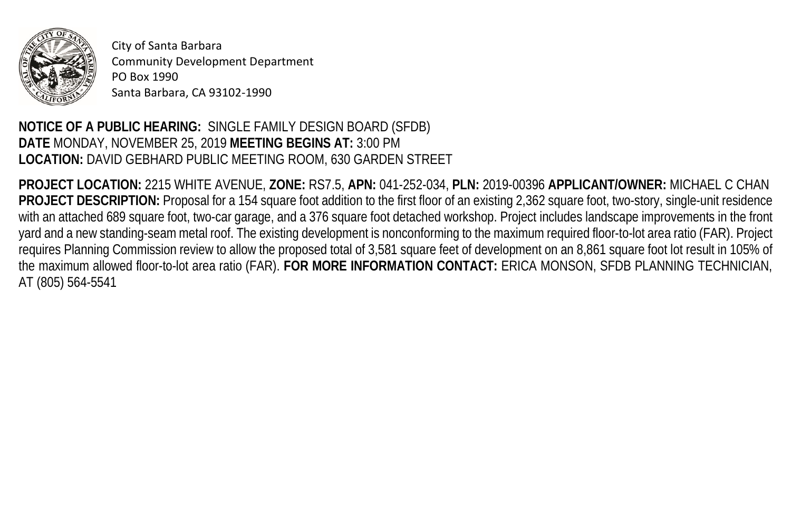

City of Santa Barbara Community Development Department PO Box 1990 Santa Barbara, CA 93102-1990

## **NOTICE OF A PUBLIC HEARING:** SINGLE FAMILY DESIGN BOARD (SFDB) **DATE** MONDAY, NOVEMBER 25, 2019 **MEETING BEGINS AT:** 3:00 PM **LOCATION:** DAVID GEBHARD PUBLIC MEETING ROOM, 630 GARDEN STREET

**PROJECT LOCATION:** 2215 WHITE AVENUE, **ZONE:** RS7.5, **APN:** 041-252-034, **PLN:** 2019-00396 **APPLICANT/OWNER:** MICHAEL C CHAN **PROJECT DESCRIPTION:** Proposal for a 154 square foot addition to the first floor of an existing 2,362 square foot, two-story, single-unit residence with an attached 689 square foot, two-car garage, and a 376 square foot detached workshop. Project includes landscape improvements in the front yard and a new standing-seam metal roof. The existing development is nonconforming to the maximum required floor-to-lot area ratio (FAR). Project requires Planning Commission review to allow the proposed total of 3,581 square feet of development on an 8,861 square foot lot result in 105% of the maximum allowed floor-to-lot area ratio (FAR). **FOR MORE INFORMATION CONTACT:** ERICA MONSON, SFDB PLANNING TECHNICIAN, AT (805) 564-5541